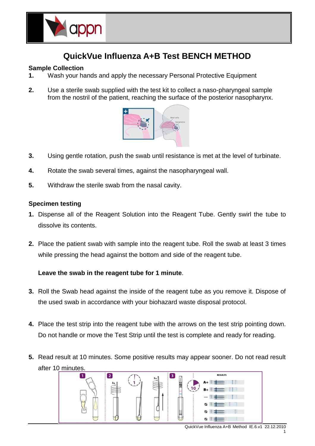

# **QuickVue Influenza A+B Test BENCH METHOD**

# **Sample Collection**

- **1.** Wash your hands and apply the necessary Personal Protective Equipment
- **2.** Use a sterile swab supplied with the test kit to collect a naso-pharyngeal sample from the nostril of the patient, reaching the surface of the posterior nasopharynx.



- **3.** Using gentle rotation, push the swab until resistance is met at the level of turbinate.
- **4.** Rotate the swab several times, against the nasopharyngeal wall.
- **5.** Withdraw the sterile swab from the nasal cavity.

## **Specimen testing**

- **1.** Dispense all of the Reagent Solution into the Reagent Tube. Gently swirl the tube to dissolve its contents.
- **2.** Place the patient swab with sample into the reagent tube. Roll the swab at least 3 times while pressing the head against the bottom and side of the reagent tube.

# **Leave the swab in the reagent tube for 1 minute**.

- **3.** Roll the Swab head against the inside of the reagent tube as you remove it. Dispose of the used swab in accordance with your biohazard waste disposal protocol.
- **4.** Place the test strip into the reagent tube with the arrows on the test strip pointing down. Do not handle or move the Test Strip until the test is complete and ready for reading.
- **5.** Read result at 10 minutes. Some positive results may appear sooner. Do not read result after 10 minutes.